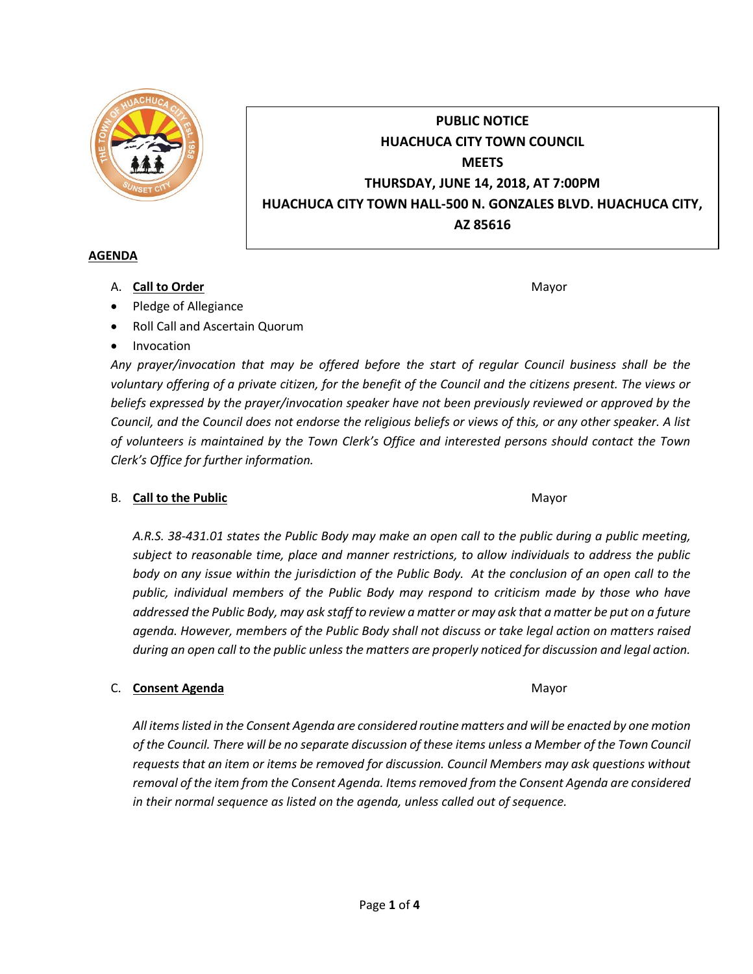

# **PUBLIC NOTICE HUACHUCA CITY TOWN COUNCIL MEETS THURSDAY, JUNE 14, 2018, AT 7:00PM HUACHUCA CITY TOWN HALL-500 N. GONZALES BLVD. HUACHUCA CITY, AZ 85616**

#### **AGENDA**

A. **Call to Order** Mayor **Mayor** Mayor **Mayor** Mayor **Mayor** 

- Pledge of Allegiance
- Roll Call and Ascertain Quorum
- Invocation

*Any prayer/invocation that may be offered before the start of regular Council business shall be the voluntary offering of a private citizen, for the benefit of the Council and the citizens present. The views or beliefs expressed by the prayer/invocation speaker have not been previously reviewed or approved by the Council, and the Council does not endorse the religious beliefs or views of this, or any other speaker. A list of volunteers is maintained by the Town Clerk's Office and interested persons should contact the Town Clerk's Office for further information.*

## B. **Call to the Public** Mayor **Mayor** Mayor **Mayor** Mayor

*A.R.S. 38-431.01 states the Public Body may make an open call to the public during a public meeting, subject to reasonable time, place and manner restrictions, to allow individuals to address the public body on any issue within the jurisdiction of the Public Body. At the conclusion of an open call to the public, individual members of the Public Body may respond to criticism made by those who have addressed the Public Body, may ask staff to review a matter or may ask that a matter be put on a future agenda. However, members of the Public Body shall not discuss or take legal action on matters raised during an open call to the public unless the matters are properly noticed for discussion and legal action.*

## C. **Consent Agenda** Mayor **C. Consent Agenda** Mayor **Mayor**

*All items listed in the Consent Agenda are considered routine matters and will be enacted by one motion of the Council. There will be no separate discussion of these items unless a Member of the Town Council requests that an item or items be removed for discussion. Council Members may ask questions without removal of the item from the Consent Agenda. Items removed from the Consent Agenda are considered in their normal sequence as listed on the agenda, unless called out of sequence.*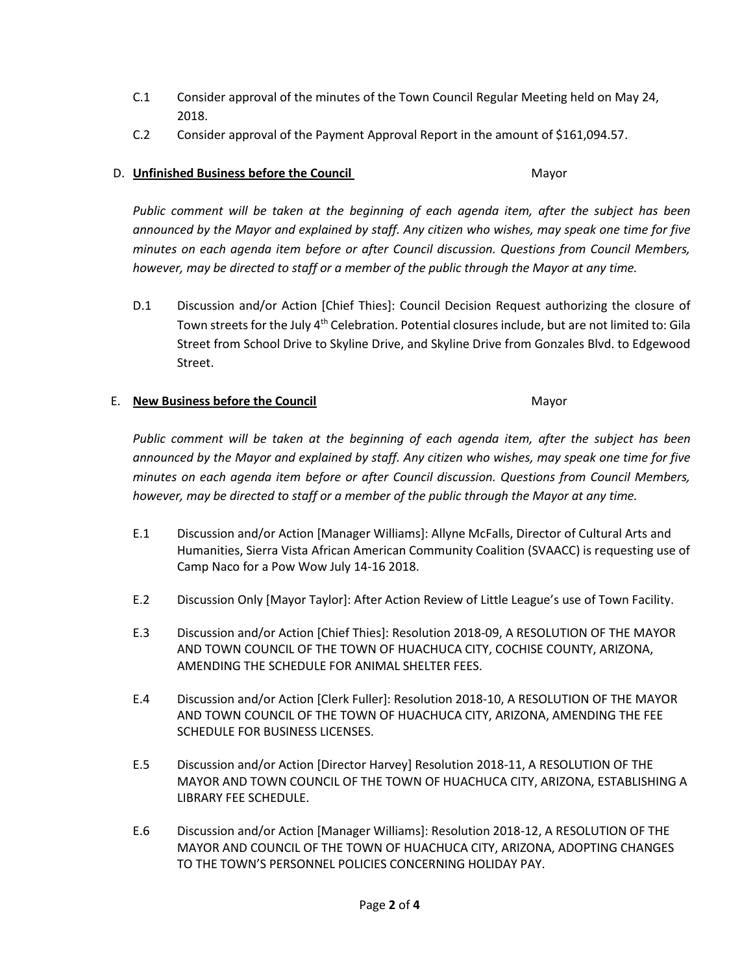- C.1 Consider approval of the minutes of the Town Council Regular Meeting held on May 24, 2018.
- C.2 Consider approval of the Payment Approval Report in the amount of \$161,094.57.

## D. **Unfinished Business before the Council** Mayor

*Public comment will be taken at the beginning of each agenda item, after the subject has been announced by the Mayor and explained by staff. Any citizen who wishes, may speak one time for five minutes on each agenda item before or after Council discussion. Questions from Council Members, however, may be directed to staff or a member of the public through the Mayor at any time.*

D.1 Discussion and/or Action [Chief Thies]: Council Decision Request authorizing the closure of Town streets for the July  $4<sup>th</sup>$  Celebration. Potential closures include, but are not limited to: Gila Street from School Drive to Skyline Drive, and Skyline Drive from Gonzales Blvd. to Edgewood Street.

## E. **New Business before the Council** Mayor

*Public comment will be taken at the beginning of each agenda item, after the subject has been announced by the Mayor and explained by staff. Any citizen who wishes, may speak one time for five minutes on each agenda item before or after Council discussion. Questions from Council Members, however, may be directed to staff or a member of the public through the Mayor at any time.*

- E.1 Discussion and/or Action [Manager Williams]: Allyne McFalls, Director of Cultural Arts and Humanities, Sierra Vista African American Community Coalition (SVAACC) is requesting use of Camp Naco for a Pow Wow July 14-16 2018.
- E.2 Discussion Only [Mayor Taylor]: After Action Review of Little League's use of Town Facility.
- E.3 Discussion and/or Action [Chief Thies]: Resolution 2018-09, A RESOLUTION OF THE MAYOR AND TOWN COUNCIL OF THE TOWN OF HUACHUCA CITY, COCHISE COUNTY, ARIZONA, AMENDING THE SCHEDULE FOR ANIMAL SHELTER FEES.
- E.4 Discussion and/or Action [Clerk Fuller]: Resolution 2018-10, A RESOLUTION OF THE MAYOR AND TOWN COUNCIL OF THE TOWN OF HUACHUCA CITY, ARIZONA, AMENDING THE FEE SCHEDULE FOR BUSINESS LICENSES.
- E.5 Discussion and/or Action [Director Harvey] Resolution 2018-11, A RESOLUTION OF THE MAYOR AND TOWN COUNCIL OF THE TOWN OF HUACHUCA CITY, ARIZONA, ESTABLISHING A LIBRARY FEE SCHEDULE.
- E.6 Discussion and/or Action [Manager Williams]: Resolution 2018-12, A RESOLUTION OF THE MAYOR AND COUNCIL OF THE TOWN OF HUACHUCA CITY, ARIZONA, ADOPTING CHANGES TO THE TOWN'S PERSONNEL POLICIES CONCERNING HOLIDAY PAY.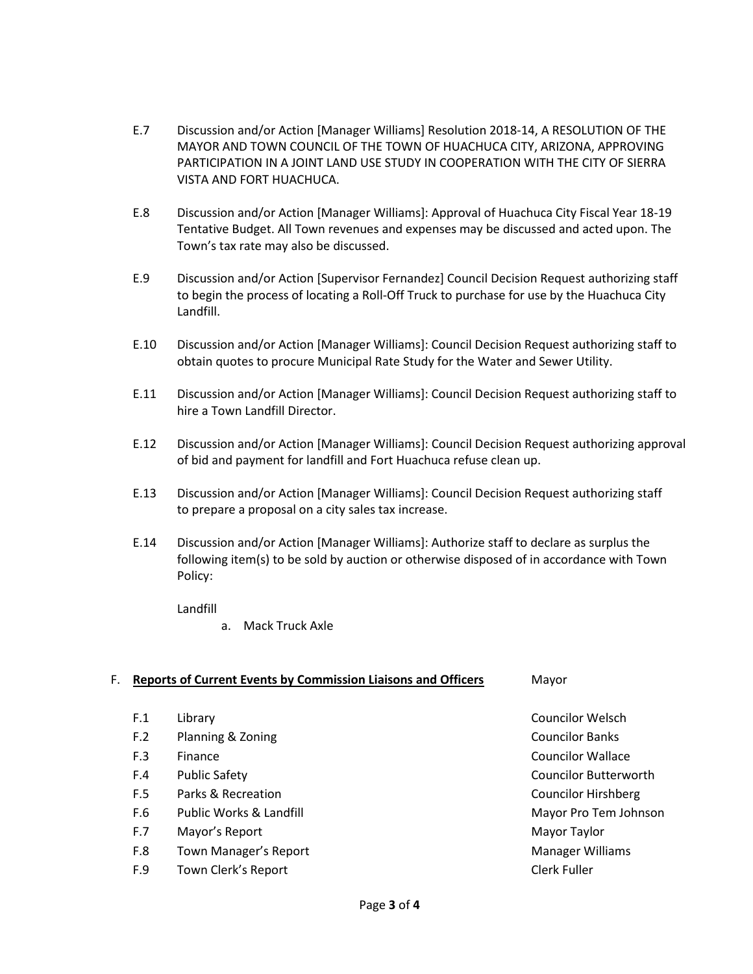- E.7 Discussion and/or Action [Manager Williams] Resolution 2018-14, A RESOLUTION OF THE MAYOR AND TOWN COUNCIL OF THE TOWN OF HUACHUCA CITY, ARIZONA, APPROVING PARTICIPATION IN A JOINT LAND USE STUDY IN COOPERATION WITH THE CITY OF SIERRA VISTA AND FORT HUACHUCA.
- E.8 Discussion and/or Action [Manager Williams]: Approval of Huachuca City Fiscal Year 18-19 Tentative Budget. All Town revenues and expenses may be discussed and acted upon. The Town's tax rate may also be discussed.
- E.9 Discussion and/or Action [Supervisor Fernandez] Council Decision Request authorizing staff to begin the process of locating a Roll-Off Truck to purchase for use by the Huachuca City Landfill.
- E.10 Discussion and/or Action [Manager Williams]: Council Decision Request authorizing staff to obtain quotes to procure Municipal Rate Study for the Water and Sewer Utility.
- E.11 Discussion and/or Action [Manager Williams]: Council Decision Request authorizing staff to hire a Town Landfill Director.
- E.12 Discussion and/or Action [Manager Williams]: Council Decision Request authorizing approval of bid and payment for landfill and Fort Huachuca refuse clean up.
- E.13 Discussion and/or Action [Manager Williams]: Council Decision Request authorizing staff to prepare a proposal on a city sales tax increase.
- E.14 Discussion and/or Action [Manager Williams]: Authorize staff to declare as surplus the following item(s) to be sold by auction or otherwise disposed of in accordance with Town Policy:

Landfill

a. Mack Truck Axle

#### F. **Reports of Current Events by Commission Liaisons and Officers** Mayor

- 
- F.2 Planning & Zoning Councilor Banks
- 
- 
- F.5 Parks & Recreation Councilor Hirshberg
- F.6 Public Works & Landfill Mayor Pro Tem Johnson
- F.7 Mayor's Report **Mayor** Report Mayor Taylor
- F.8 Town Manager's Report **Manager Williams** Communication and Manager Williams
- F.9 Town Clerk's Report Clerk Fuller

F.1 Library Councilor Welsch F.3 Finance **Councilor Wallace** Councilor Wallace F.4 Public Safety Councilor Butterworth